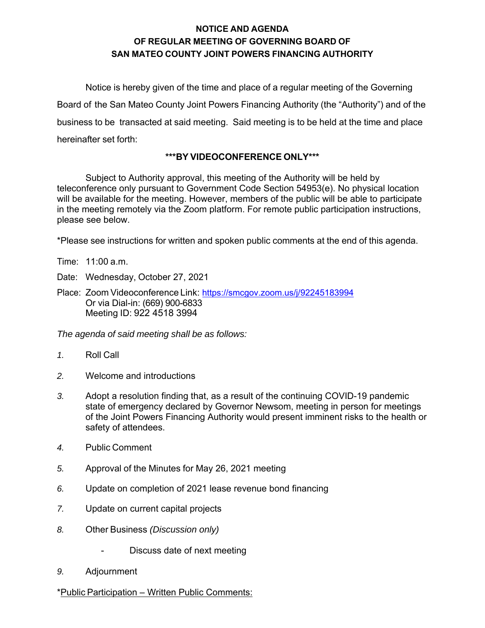# **NOTICE AND AGENDA OF REGULAR MEETING OF GOVERNING BOARD OF SAN MATEO COUNTY JOINT POWERS FINANCING AUTHORITY**

Notice is hereby given of the time and place of a regular meeting of the Governing Board of the San Mateo County Joint Powers Financing Authority (the "Authority") and of the business to be transacted at said meeting. Said meeting is to be held at the time and place hereinafter set forth:

## **\*\*\*BY VIDEOCONFERENCE ONLY\*\*\***

Subject to Authority approval, this meeting of the Authority will be held by teleconference only pursuant to Government Code Section 54953(e). No physical location will be available for the meeting. However, members of the public will be able to participate in the meeting remotely via the Zoom platform. For remote public participation instructions, please see below.

\*Please see instructions for written and spoken public comments at the end of this agenda.

Time: 11:00 a.m.

Date: Wednesday, October 27, 2021

Place: Zoom Videoconference Link: https://smcgov.zoom.us/j/92245183994 Or via Dial-in: (669) 900-6833 Meeting ID: 922 4518 3994

*The agenda of said meeting shall be as follows:* 

- *1.* Roll Call
- *2.* Welcome and introductions
- *3.* Adopt a resolution finding that, as a result of the continuing COVID-19 pandemic state of emergency declared by Governor Newsom, meeting in person for meetings of the Joint Powers Financing Authority would present imminent risks to the health or safety of attendees.
- *4.* Public Comment
- *5.* Approval of the Minutes for May 26, 2021 meeting
- *6.* Update on completion of 2021 lease revenue bond financing
- *7.* Update on current capital projects
- *8.* Other Business *(Discussion only)*
	- Discuss date of next meeting
- *9.* Adjournment

#### \*Public Participation – Written Public Comments: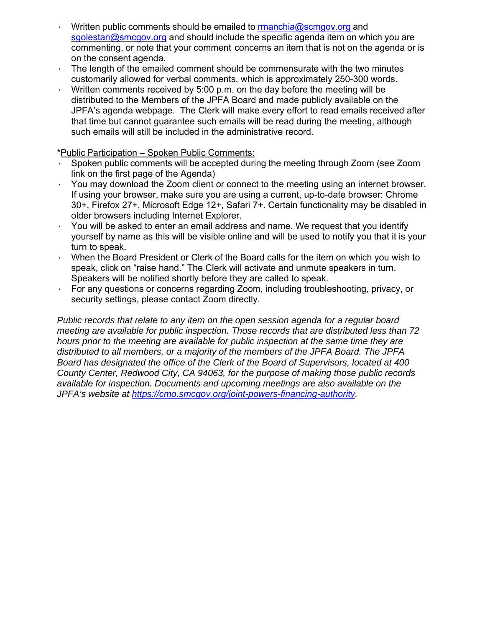- Written public comments should be emailed to  $r$ manchia@scmgov.org and sgolestan@smcgov.org and should include the specific agenda item on which you are commenting, or note that your comment concerns an item that is not on the agenda or is on the consent agenda.
- The length of the emailed comment should be commensurate with the two minutes customarily allowed for verbal comments, which is approximately 250-300 words.
- · Written comments received by 5:00 p.m. on the day before the meeting will be distributed to the Members of the JPFA Board and made publicly available on the JPFA's agenda webpage. The Clerk will make every effort to read emails received after that time but cannot guarantee such emails will be read during the meeting, although such emails will still be included in the administrative record.

\*Public Participation – Spoken Public Comments:

- Spoken public comments will be accepted during the meeting through Zoom (see Zoom link on the first page of the Agenda)
- · You may download the Zoom client or connect to the meeting using an internet browser. If using your browser, make sure you are using a current, up-to-date browser: Chrome 30+, Firefox 27+, Microsoft Edge 12+, Safari 7+. Certain functionality may be disabled in older browsers including Internet Explorer.
- · You will be asked to enter an email address and name. We request that you identify yourself by name as this will be visible online and will be used to notify you that it is your turn to speak.
- When the Board President or Clerk of the Board calls for the item on which you wish to speak, click on "raise hand." The Clerk will activate and unmute speakers in turn. Speakers will be notified shortly before they are called to speak.
- · For any questions or concerns regarding Zoom, including troubleshooting, privacy, or security settings, please contact Zoom directly.

*Public records that relate to any item on the open session agenda for a regular board meeting are available for public inspection. Those records that are distributed less than 72 hours prior to the meeting are available for public inspection at the same time they are distributed to all members, or a majority of the members of the JPFA Board. The JPFA Board has designated the office of the Clerk of the Board of Supervisors, located at 400 County Center, Redwood City, CA 94063, for the purpose of making those public records available for inspection. Documents and upcoming meetings are also available on the JPFA's website at https://cmo.smcgov.org/joint-powers-financing-authority.*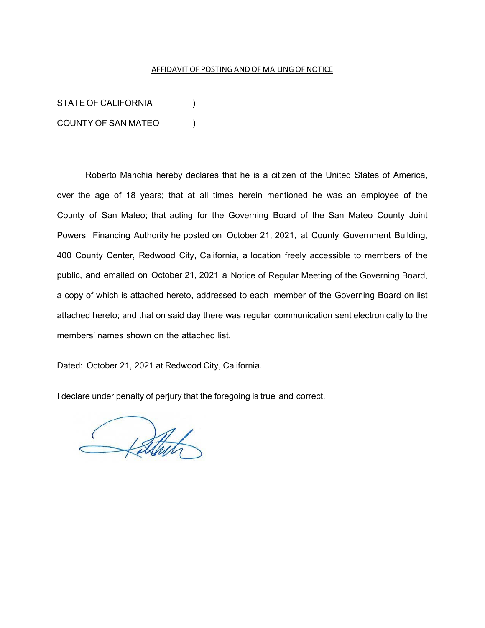#### AFFIDAVIT OF POSTING AND OF MAILING OF NOTICE

STATE OF CALIFORNIA (1) COUNTY OF SAN MATEO )

Roberto Manchia hereby declares that he is a citizen of the United States of America, over the age of 18 years; that at all times herein mentioned he was an employee of the County of San Mateo; that acting for the Governing Board of the San Mateo County Joint Powers Financing Authority he posted on October 21, 2021, at County Government Building, 400 County Center, Redwood City, California, a location freely accessible to members of the public, and emailed on October 21, 2021 a Notice of Regular Meeting of the Governing Board, a copy of which is attached hereto, addressed to each member of the Governing Board on list attached hereto; and that on said day there was regular communication sent electronically to the members' names shown on the attached list.

Dated: October 21, 2021 at Redwood City, California.

I declare under penalty of perjury that the foregoing is true and correct.

Stack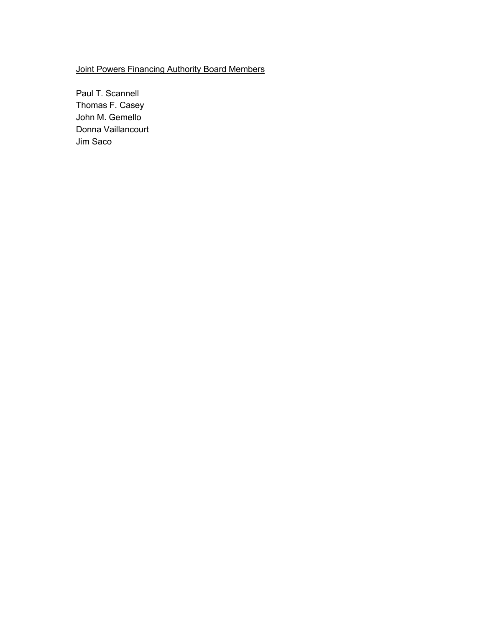## Joint Powers Financing Authority Board Members

Paul T. Scannell Thomas F. Casey John M. Gemello Donna Vaillancourt Jim Saco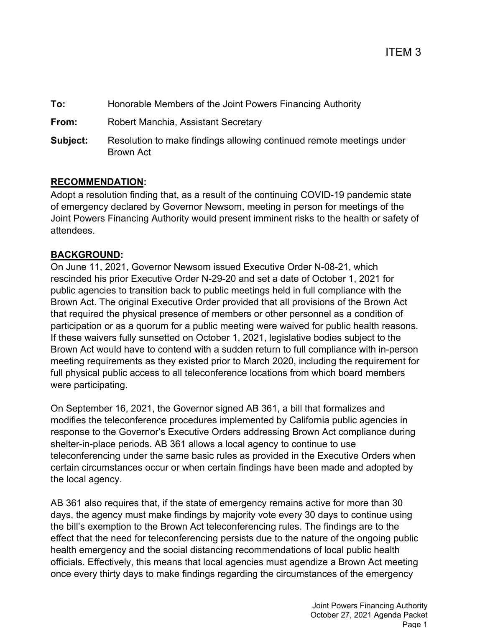**To:** Honorable Members of the Joint Powers Financing Authority **From:** Robert Manchia, Assistant Secretary **Subject:** Resolution to make findings allowing continued remote meetings under Brown Act

# **RECOMMENDATION:**

Adopt a resolution finding that, as a result of the continuing COVID-19 pandemic state of emergency declared by Governor Newsom, meeting in person for meetings of the Joint Powers Financing Authority would present imminent risks to the health or safety of attendees.

# **BACKGROUND:**

On June 11, 2021, Governor Newsom issued Executive Order N-08-21, which rescinded his prior Executive Order N-29-20 and set a date of October 1, 2021 for public agencies to transition back to public meetings held in full compliance with the Brown Act. The original Executive Order provided that all provisions of the Brown Act that required the physical presence of members or other personnel as a condition of participation or as a quorum for a public meeting were waived for public health reasons. If these waivers fully sunsetted on October 1, 2021, legislative bodies subject to the Brown Act would have to contend with a sudden return to full compliance with in-person meeting requirements as they existed prior to March 2020, including the requirement for full physical public access to all teleconference locations from which board members were participating.

On September 16, 2021, the Governor signed AB 361, a bill that formalizes and modifies the teleconference procedures implemented by California public agencies in response to the Governor's Executive Orders addressing Brown Act compliance during shelter-in-place periods. AB 361 allows a local agency to continue to use teleconferencing under the same basic rules as provided in the Executive Orders when certain circumstances occur or when certain findings have been made and adopted by the local agency.

AB 361 also requires that, if the state of emergency remains active for more than 30 days, the agency must make findings by majority vote every 30 days to continue using the bill's exemption to the Brown Act teleconferencing rules. The findings are to the effect that the need for teleconferencing persists due to the nature of the ongoing public health emergency and the social distancing recommendations of local public health officials. Effectively, this means that local agencies must agendize a Brown Act meeting once every thirty days to make findings regarding the circumstances of the emergency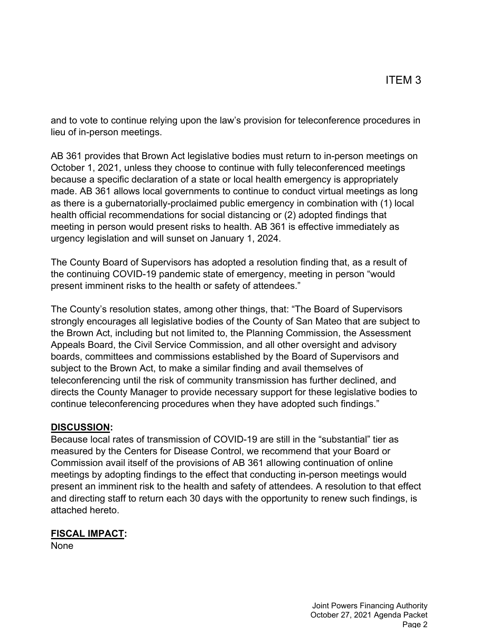and to vote to continue relying upon the law's provision for teleconference procedures in lieu of in-person meetings.

AB 361 provides that Brown Act legislative bodies must return to in-person meetings on October 1, 2021, unless they choose to continue with fully teleconferenced meetings because a specific declaration of a state or local health emergency is appropriately made. AB 361 allows local governments to continue to conduct virtual meetings as long as there is a gubernatorially-proclaimed public emergency in combination with (1) local health official recommendations for social distancing or (2) adopted findings that meeting in person would present risks to health. AB 361 is effective immediately as urgency legislation and will sunset on January 1, 2024.

The County Board of Supervisors has adopted a resolution finding that, as a result of the continuing COVID-19 pandemic state of emergency, meeting in person "would present imminent risks to the health or safety of attendees."

The County's resolution states, among other things, that: "The Board of Supervisors strongly encourages all legislative bodies of the County of San Mateo that are subject to the Brown Act, including but not limited to, the Planning Commission, the Assessment Appeals Board, the Civil Service Commission, and all other oversight and advisory boards, committees and commissions established by the Board of Supervisors and subject to the Brown Act, to make a similar finding and avail themselves of teleconferencing until the risk of community transmission has further declined, and directs the County Manager to provide necessary support for these legislative bodies to continue teleconferencing procedures when they have adopted such findings."

## **DISCUSSION:**

Because local rates of transmission of COVID-19 are still in the "substantial" tier as measured by the Centers for Disease Control, we recommend that your Board or Commission avail itself of the provisions of AB 361 allowing continuation of online meetings by adopting findings to the effect that conducting in-person meetings would present an imminent risk to the health and safety of attendees. A resolution to that effect and directing staff to return each 30 days with the opportunity to renew such findings, is attached hereto.

## **FISCAL IMPACT:**

None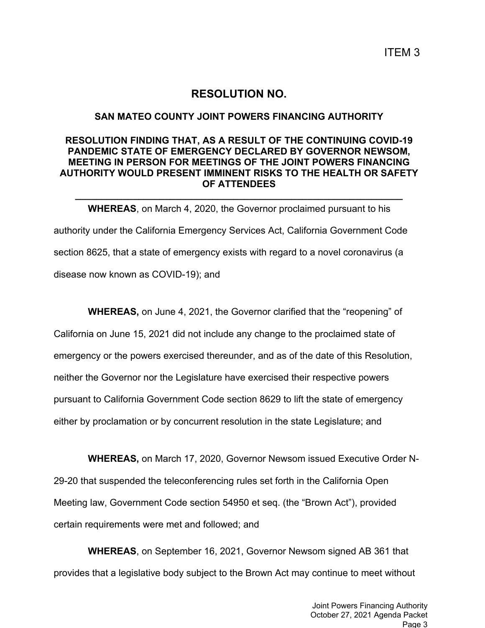ITEM 3

# **RESOLUTION NO.**

#### **SAN MATEO COUNTY JOINT POWERS FINANCING AUTHORITY**

## **RESOLUTION FINDING THAT, AS A RESULT OF THE CONTINUING COVID-19 PANDEMIC STATE OF EMERGENCY DECLARED BY GOVERNOR NEWSOM, MEETING IN PERSON FOR MEETINGS OF THE JOINT POWERS FINANCING AUTHORITY WOULD PRESENT IMMINENT RISKS TO THE HEALTH OR SAFETY OF ATTENDEES**

**\_\_\_\_\_\_\_\_\_\_\_\_\_\_\_\_\_\_\_\_\_\_\_\_\_\_\_\_\_\_\_\_\_\_\_\_\_\_\_\_\_\_\_\_\_\_\_\_\_\_\_\_\_\_\_\_\_\_\_\_\_\_**

**WHEREAS**, on March 4, 2020, the Governor proclaimed pursuant to his authority under the California Emergency Services Act, California Government Code section 8625, that a state of emergency exists with regard to a novel coronavirus (a disease now known as COVID-19); and

**WHEREAS,** on June 4, 2021, the Governor clarified that the "reopening" of California on June 15, 2021 did not include any change to the proclaimed state of emergency or the powers exercised thereunder, and as of the date of this Resolution, neither the Governor nor the Legislature have exercised their respective powers pursuant to California Government Code section 8629 to lift the state of emergency either by proclamation or by concurrent resolution in the state Legislature; and

**WHEREAS,** on March 17, 2020, Governor Newsom issued Executive Order N-29-20 that suspended the teleconferencing rules set forth in the California Open Meeting law, Government Code section 54950 et seq. (the "Brown Act"), provided certain requirements were met and followed; and

**WHEREAS**, on September 16, 2021, Governor Newsom signed AB 361 that provides that a legislative body subject to the Brown Act may continue to meet without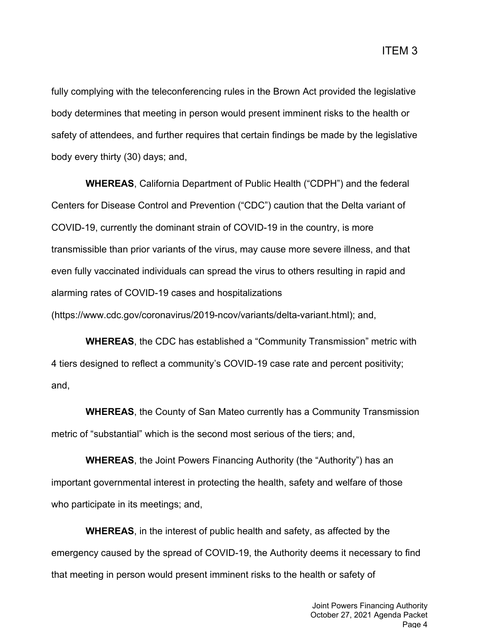fully complying with the teleconferencing rules in the Brown Act provided the legislative body determines that meeting in person would present imminent risks to the health or safety of attendees, and further requires that certain findings be made by the legislative body every thirty (30) days; and,

**WHEREAS**, California Department of Public Health ("CDPH") and the federal Centers for Disease Control and Prevention ("CDC") caution that the Delta variant of COVID-19, currently the dominant strain of COVID-19 in the country, is more transmissible than prior variants of the virus, may cause more severe illness, and that even fully vaccinated individuals can spread the virus to others resulting in rapid and alarming rates of COVID-19 cases and hospitalizations (https://www.cdc.gov/coronavirus/2019-ncov/variants/delta-variant.html); and,

**WHEREAS**, the CDC has established a "Community Transmission" metric with 4 tiers designed to reflect a community's COVID-19 case rate and percent positivity; and,

**WHEREAS**, the County of San Mateo currently has a Community Transmission metric of "substantial" which is the second most serious of the tiers; and,

**WHEREAS**, the Joint Powers Financing Authority (the "Authority") has an important governmental interest in protecting the health, safety and welfare of those who participate in its meetings; and,

**WHEREAS**, in the interest of public health and safety, as affected by the emergency caused by the spread of COVID-19, the Authority deems it necessary to find that meeting in person would present imminent risks to the health or safety of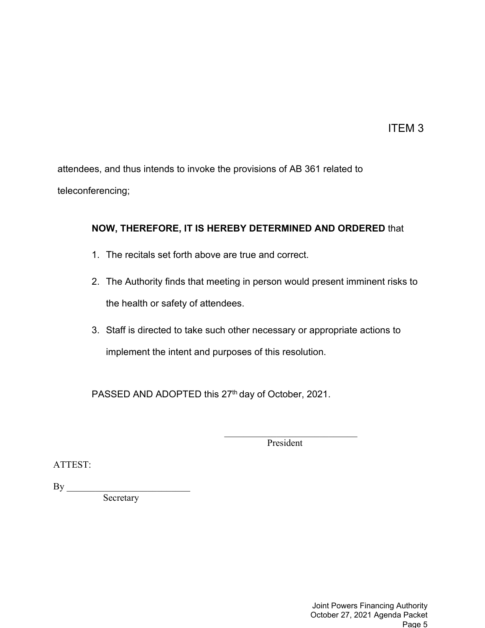ITEM 3

attendees, and thus intends to invoke the provisions of AB 361 related to teleconferencing;

# **NOW, THEREFORE, IT IS HEREBY DETERMINED AND ORDERED** that

- 1. The recitals set forth above are true and correct.
- 2. The Authority finds that meeting in person would present imminent risks to the health or safety of attendees.
- 3. Staff is directed to take such other necessary or appropriate actions to implement the intent and purposes of this resolution.

PASSED AND ADOPTED this 27<sup>th</sup> day of October, 2021.

President

ATTEST:

 $By \_\_$ 

**Secretary**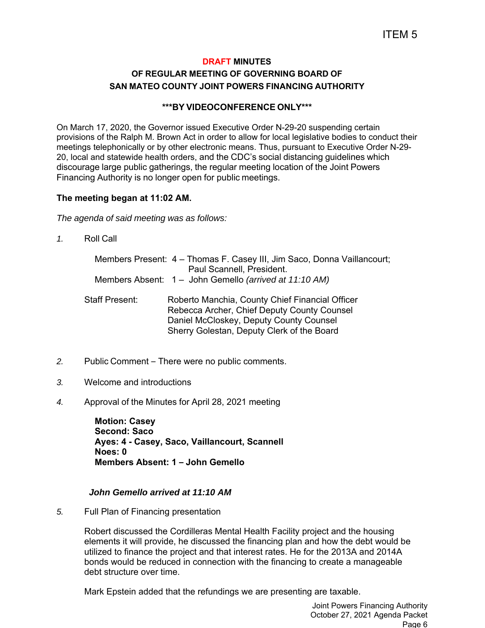## **DRAFT MINUTES OF REGULAR MEETING OF GOVERNING BOARD OF SAN MATEO COUNTY JOINT POWERS FINANCING AUTHORITY**

#### **\*\*\*BY VIDEOCONFERENCE ONLY\*\*\***

On March 17, 2020, the Governor issued Executive Order N-29-20 suspending certain provisions of the Ralph M. Brown Act in order to allow for local legislative bodies to conduct their meetings telephonically or by other electronic means. Thus, pursuant to Executive Order N-29- 20, local and statewide health orders, and the CDC's social distancing guidelines which discourage large public gatherings, the regular meeting location of the Joint Powers Financing Authority is no longer open for public meetings.

#### **The meeting began at 11:02 AM.**

*The agenda of said meeting was as follows:* 

*1.* Roll Call

|                       | Members Present: 4 - Thomas F. Casey III, Jim Saco, Donna Vaillancourt;<br>Paul Scannell, President.                                                                                    |
|-----------------------|-----------------------------------------------------------------------------------------------------------------------------------------------------------------------------------------|
|                       | Members Absent: 1 – John Gemello (arrived at 11:10 AM)                                                                                                                                  |
| <b>Staff Present:</b> | Roberto Manchia, County Chief Financial Officer<br>Rebecca Archer, Chief Deputy County Counsel<br>Daniel McCloskey, Deputy County Counsel<br>Sherry Golestan, Deputy Clerk of the Board |

- *2.* Public Comment There were no public comments.
- *3.* Welcome and introductions
- *4.* Approval of the Minutes for April 28, 2021 meeting

**Motion: Casey Second: Saco Ayes: 4 - Casey, Saco, Vaillancourt, Scannell Noes: 0 Members Absent: 1 – John Gemello** 

#### *John Gemello arrived at 11:10 AM*

*5.* Full Plan of Financing presentation

Robert discussed the Cordilleras Mental Health Facility project and the housing elements it will provide, he discussed the financing plan and how the debt would be utilized to finance the project and that interest rates. He for the 2013A and 2014A bonds would be reduced in connection with the financing to create a manageable debt structure over time.

Mark Epstein added that the refundings we are presenting are taxable.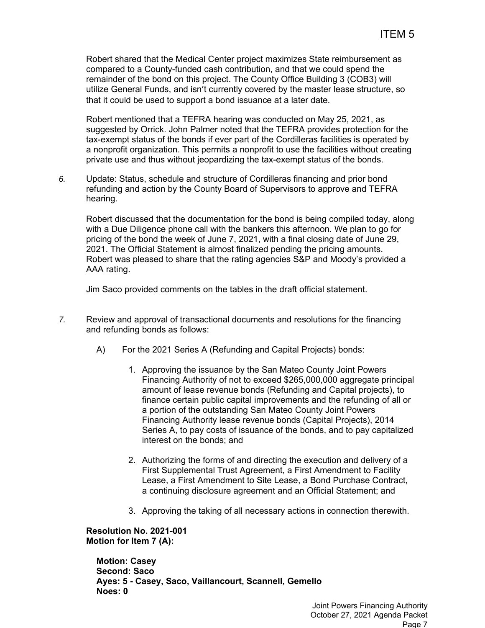Robert shared that the Medical Center project maximizes State reimbursement as compared to a County-funded cash contribution, and that we could spend the remainder of the bond on this project. The County Office Building 3 (COB3) will utilize General Funds, and isn't currently covered by the master lease structure, so that it could be used to support a bond issuance at a later date.

Robert mentioned that a TEFRA hearing was conducted on May 25, 2021, as suggested by Orrick. John Palmer noted that the TEFRA provides protection for the tax-exempt status of the bonds if ever part of the Cordilleras facilities is operated by a nonprofit organization. This permits a nonprofit to use the facilities without creating private use and thus without jeopardizing the tax-exempt status of the bonds.

*6.* Update: Status, schedule and structure of Cordilleras financing and prior bond refunding and action by the County Board of Supervisors to approve and TEFRA hearing.

Robert discussed that the documentation for the bond is being compiled today, along with a Due Diligence phone call with the bankers this afternoon. We plan to go for pricing of the bond the week of June 7, 2021, with a final closing date of June 29, 2021. The Official Statement is almost finalized pending the pricing amounts. Robert was pleased to share that the rating agencies S&P and Moody's provided a AAA rating.

Jim Saco provided comments on the tables in the draft official statement.

- *7.* Review and approval of transactional documents and resolutions for the financing and refunding bonds as follows:
	- A) For the 2021 Series A (Refunding and Capital Projects) bonds:
		- 1. Approving the issuance by the San Mateo County Joint Powers Financing Authority of not to exceed \$265,000,000 aggregate principal amount of lease revenue bonds (Refunding and Capital projects), to finance certain public capital improvements and the refunding of all or a portion of the outstanding San Mateo County Joint Powers Financing Authority lease revenue bonds (Capital Projects), 2014 Series A, to pay costs of issuance of the bonds, and to pay capitalized interest on the bonds; and
		- 2. Authorizing the forms of and directing the execution and delivery of a First Supplemental Trust Agreement, a First Amendment to Facility Lease, a First Amendment to Site Lease, a Bond Purchase Contract, a continuing disclosure agreement and an Official Statement; and
		- 3. Approving the taking of all necessary actions in connection therewith.

 **Resolution No. 2021-001 Motion for Item 7 (A):** 

**Motion: Casey Second: Saco Ayes: 5 - Casey, Saco, Vaillancourt, Scannell, Gemello Noes: 0**